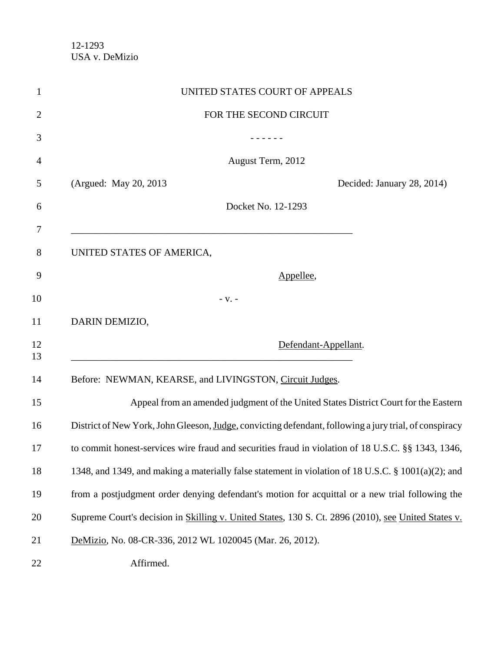| UNITED STATES COURT OF APPEALS                                                                         |
|--------------------------------------------------------------------------------------------------------|
| FOR THE SECOND CIRCUIT                                                                                 |
|                                                                                                        |
| August Term, 2012                                                                                      |
| (Argued: May 20, 2013)<br>Decided: January 28, 2014)                                                   |
| Docket No. 12-1293                                                                                     |
| UNITED STATES OF AMERICA,                                                                              |
| Appellee,                                                                                              |
| $-V. -$                                                                                                |
| DARIN DEMIZIO,                                                                                         |
| Defendant-Appellant.                                                                                   |
| Before: NEWMAN, KEARSE, and LIVINGSTON, Circuit Judges.                                                |
| Appeal from an amended judgment of the United States District Court for the Eastern                    |
| District of New York, John Gleeson, Judge, convicting defendant, following a jury trial, of conspiracy |
| to commit honest-services wire fraud and securities fraud in violation of 18 U.S.C. §§ 1343, 1346,     |
| 1348, and 1349, and making a materially false statement in violation of 18 U.S.C. § 1001(a)(2); and    |
| from a postjudgment order denying defendant's motion for acquittal or a new trial following the        |
| Supreme Court's decision in Skilling v. United States, 130 S. Ct. 2896 (2010), see United States v.    |
| DeMizio, No. 08-CR-336, 2012 WL 1020045 (Mar. 26, 2012).                                               |
| Affirmed.                                                                                              |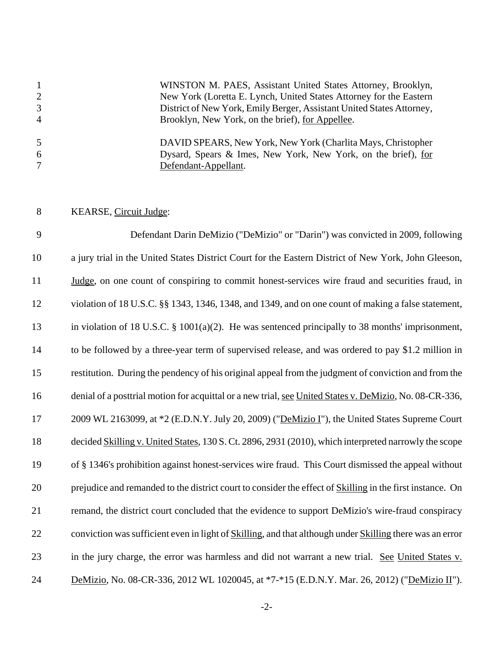WINSTON M. PAES, Assistant United States Attorney, Brooklyn, New York (Loretta E. Lynch, United States Attorney for the Eastern District of New York, Emily Berger, Assistant United States Attorney, Brooklyn, New York, on the brief), for Appellee. DAVID SPEARS, New York, New York (Charlita Mays, Christopher Dysard, Spears & Imes, New York, New York, on the brief), for Defendant-Appellant.

#### KEARSE, Circuit Judge:

 Defendant Darin DeMizio ("DeMizio" or "Darin") was convicted in 2009, following a jury trial in the United States District Court for the Eastern District of New York, John Gleeson, 11 Judge, on one count of conspiring to commit honest-services wire fraud and securities fraud, in violation of 18 U.S.C. §§ 1343, 1346, 1348, and 1349, and on one count of making a false statement, in violation of 18 U.S.C. § 1001(a)(2). He was sentenced principally to 38 months' imprisonment, to be followed by a three-year term of supervised release, and was ordered to pay \$1.2 million in restitution. During the pendency of his original appeal from the judgment of conviction and from the 16 denial of a posttrial motion for acquittal or a new trial, see United States v. DeMizio, No. 08-CR-336, 2009 WL 2163099, at \*2 (E.D.N.Y. July 20, 2009) ("DeMizio I"), the United States Supreme Court 18 decided Skilling v. United States, 130 S. Ct. 2896, 2931 (2010), which interpreted narrowly the scope of § 1346's prohibition against honest-services wire fraud. This Court dismissed the appeal without prejudice and remanded to the district court to consider the effect of Skilling in the first instance. On remand, the district court concluded that the evidence to support DeMizio's wire-fraud conspiracy 22 conviction was sufficient even in light of Skilling, and that although under Skilling there was an error 23 in the jury charge, the error was harmless and did not warrant a new trial. See United States v. DeMizio, No. 08-CR-336, 2012 WL 1020045, at \*7-\*15 (E.D.N.Y. Mar. 26, 2012) ("DeMizio II").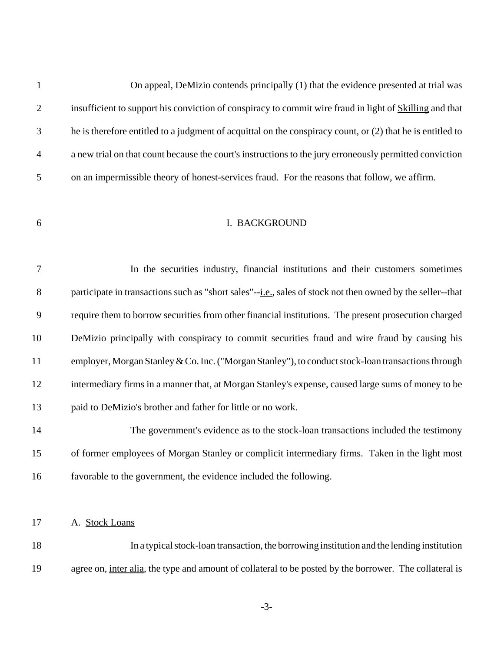On appeal, DeMizio contends principally (1) that the evidence presented at trial was insufficient to support his conviction of conspiracy to commit wire fraud in light of Skilling and that he is therefore entitled to a judgment of acquittal on the conspiracy count, or (2) that he is entitled to a new trial on that count because the court's instructions to the jury erroneously permitted conviction on an impermissible theory of honest-services fraud. For the reasons that follow, we affirm.

# I. BACKGROUND

|    | In the securities industry, financial institutions and their customers sometimes                           |
|----|------------------------------------------------------------------------------------------------------------|
| 8  | participate in transactions such as "short sales"--i.e., sales of stock not then owned by the seller--that |
| 9  | require them to borrow securities from other financial institutions. The present prosecution charged       |
| 10 | DeMizio principally with conspiracy to commit securities fraud and wire fraud by causing his               |
| 11 | employer, Morgan Stanley & Co. Inc. ("Morgan Stanley"), to conduct stock-loan transactions through         |
| 12 | intermediary firms in a manner that, at Morgan Stanley's expense, caused large sums of money to be         |
| 13 | paid to DeMizio's brother and father for little or no work.                                                |

 The government's evidence as to the stock-loan transactions included the testimony of former employees of Morgan Stanley or complicit intermediary firms. Taken in the light most favorable to the government, the evidence included the following.

A. Stock Loans

 In a typical stock-loan transaction, the borrowing institution and the lending institution 19 agree on, inter alia, the type and amount of collateral to be posted by the borrower. The collateral is

 $-3-$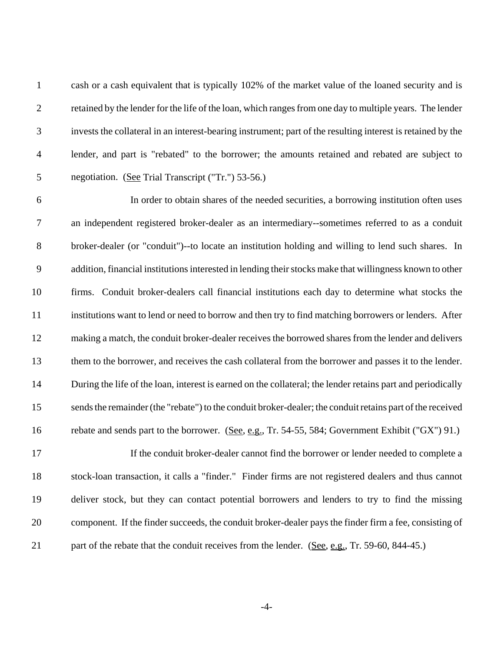cash or a cash equivalent that is typically 102% of the market value of the loaned security and is retained by the lender for the life of the loan, which ranges from one day to multiple years. The lender invests the collateral in an interest-bearing instrument; part of the resulting interest is retained by the lender, and part is "rebated" to the borrower; the amounts retained and rebated are subject to negotiation. (See Trial Transcript ("Tr.") 53-56.)

 In order to obtain shares of the needed securities, a borrowing institution often uses an independent registered broker-dealer as an intermediary--sometimes referred to as a conduit broker-dealer (or "conduit")--to locate an institution holding and willing to lend such shares. In addition, financial institutions interested in lending their stocks make that willingness known to other firms. Conduit broker-dealers call financial institutions each day to determine what stocks the institutions want to lend or need to borrow and then try to find matching borrowers or lenders. After making a match, the conduit broker-dealer receives the borrowed shares from the lender and delivers them to the borrower, and receives the cash collateral from the borrower and passes it to the lender. During the life of the loan, interest is earned on the collateral; the lender retains part and periodically sends the remainder (the "rebate") to the conduit broker-dealer; the conduit retains part of the received 16 rebate and sends part to the borrower. (See, e.g., Tr. 54-55, 584; Government Exhibit ("GX") 91.)

17 If the conduit broker-dealer cannot find the borrower or lender needed to complete a stock-loan transaction, it calls a "finder." Finder firms are not registered dealers and thus cannot deliver stock, but they can contact potential borrowers and lenders to try to find the missing component. If the finder succeeds, the conduit broker-dealer pays the finder firm a fee, consisting of 21 part of the rebate that the conduit receives from the lender. (See, e.g., Tr. 59-60, 844-45.)

 $-4-$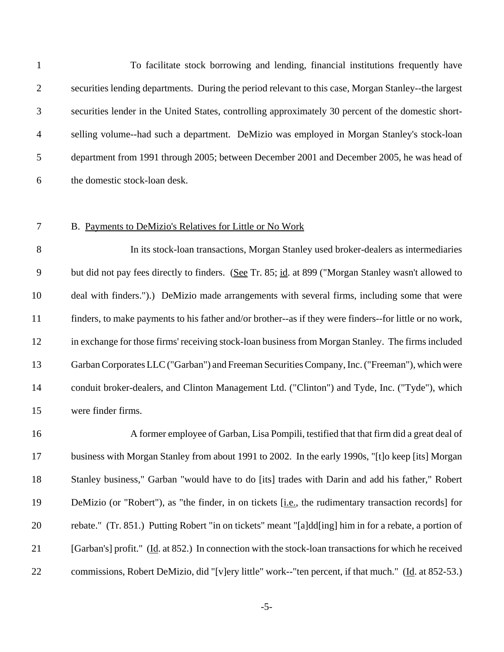To facilitate stock borrowing and lending, financial institutions frequently have securities lending departments. During the period relevant to this case, Morgan Stanley--the largest securities lender in the United States, controlling approximately 30 percent of the domestic short- selling volume--had such a department. DeMizio was employed in Morgan Stanley's stock-loan department from 1991 through 2005; between December 2001 and December 2005, he was head of the domestic stock-loan desk.

### B. Payments to DeMizio's Relatives for Little or No Work

 In its stock-loan transactions, Morgan Stanley used broker-dealers as intermediaries but did not pay fees directly to finders. (See Tr. 85; id. at 899 ("Morgan Stanley wasn't allowed to deal with finders.").) DeMizio made arrangements with several firms, including some that were finders, to make payments to his father and/or brother--as if they were finders--for little or no work, in exchange for those firms' receiving stock-loan business from Morgan Stanley. The firms included Garban Corporates LLC ("Garban") and Freeman Securities Company, Inc. ("Freeman"), which were conduit broker-dealers, and Clinton Management Ltd. ("Clinton") and Tyde, Inc. ("Tyde"), which were finder firms.

 A former employee of Garban, Lisa Pompili, testified that that firm did a great deal of business with Morgan Stanley from about 1991 to 2002. In the early 1990s, "[t]o keep [its] Morgan Stanley business," Garban "would have to do [its] trades with Darin and add his father," Robert DeMizio (or "Robert"), as "the finder, in on tickets [i.e., the rudimentary transaction records] for rebate." (Tr. 851.) Putting Robert "in on tickets" meant "[a]dd[ing] him in for a rebate, a portion of [Garban's] profit." (Id. at 852.) In connection with the stock-loan transactions for which he received 22 commissions, Robert DeMizio, did "[v]ery little" work--"ten percent, if that much." (Id. at 852-53.)

 $-5-$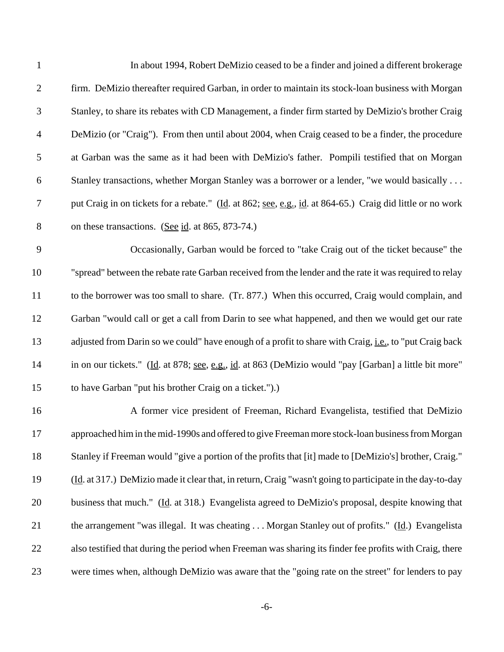| $\overline{2}$<br>$\mathfrak{Z}$<br>$\overline{4}$<br>$\sqrt{5}$<br>6<br>$\tau$<br>$8\,$<br>on these transactions. (See id. at 865, 873-74.)<br>9<br>10<br>11<br>12<br>13<br>14<br>to have Garban "put his brother Craig on a ticket.").)<br>15<br>16<br>17<br>18<br>19<br>20<br>21<br>22<br>23 | $\mathbf{1}$ | In about 1994, Robert DeMizio ceased to be a finder and joined a different brokerage                           |
|-------------------------------------------------------------------------------------------------------------------------------------------------------------------------------------------------------------------------------------------------------------------------------------------------|--------------|----------------------------------------------------------------------------------------------------------------|
|                                                                                                                                                                                                                                                                                                 |              | firm. DeMizio thereafter required Garban, in order to maintain its stock-loan business with Morgan             |
|                                                                                                                                                                                                                                                                                                 |              | Stanley, to share its rebates with CD Management, a finder firm started by DeMizio's brother Craig             |
|                                                                                                                                                                                                                                                                                                 |              | DeMizio (or "Craig"). From then until about 2004, when Craig ceased to be a finder, the procedure              |
|                                                                                                                                                                                                                                                                                                 |              | at Garban was the same as it had been with DeMizio's father. Pompili testified that on Morgan                  |
|                                                                                                                                                                                                                                                                                                 |              | Stanley transactions, whether Morgan Stanley was a borrower or a lender, "we would basically                   |
|                                                                                                                                                                                                                                                                                                 |              | put Craig in on tickets for a rebate." (Id. at 862; see, e.g., id. at 864-65.) Craig did little or no work     |
|                                                                                                                                                                                                                                                                                                 |              |                                                                                                                |
|                                                                                                                                                                                                                                                                                                 |              | Occasionally, Garban would be forced to "take Craig out of the ticket because" the                             |
|                                                                                                                                                                                                                                                                                                 |              | "spread" between the rebate rate Garban received from the lender and the rate it was required to relay         |
|                                                                                                                                                                                                                                                                                                 |              | to the borrower was too small to share. (Tr. 877.) When this occurred, Craig would complain, and               |
|                                                                                                                                                                                                                                                                                                 |              | Garban "would call or get a call from Darin to see what happened, and then we would get our rate               |
|                                                                                                                                                                                                                                                                                                 |              | adjusted from Darin so we could" have enough of a profit to share with Craig, <i>i.e.</i> , to "put Craig back |
|                                                                                                                                                                                                                                                                                                 |              | in on our tickets." (Id. at 878; see, e.g., id. at 863 (DeMizio would "pay [Garban] a little bit more"         |
|                                                                                                                                                                                                                                                                                                 |              |                                                                                                                |
|                                                                                                                                                                                                                                                                                                 |              | A former vice president of Freeman, Richard Evangelista, testified that DeMizio                                |
|                                                                                                                                                                                                                                                                                                 |              | approached him in the mid-1990s and offered to give Freeman more stock-loan business from Morgan               |
|                                                                                                                                                                                                                                                                                                 |              | Stanley if Freeman would "give a portion of the profits that [it] made to [DeMizio's] brother, Craig."         |
|                                                                                                                                                                                                                                                                                                 |              | (Id. at 317.) DeMizio made it clear that, in return, Craig "wasn't going to participate in the day-to-day      |
|                                                                                                                                                                                                                                                                                                 |              | business that much." (Id. at 318.) Evangelista agreed to DeMizio's proposal, despite knowing that              |
|                                                                                                                                                                                                                                                                                                 |              | the arrangement "was illegal. It was cheating Morgan Stanley out of profits." (Id.) Evangelista                |
|                                                                                                                                                                                                                                                                                                 |              | also testified that during the period when Freeman was sharing its finder fee profits with Craig, there        |
|                                                                                                                                                                                                                                                                                                 |              | were times when, although DeMizio was aware that the "going rate on the street" for lenders to pay             |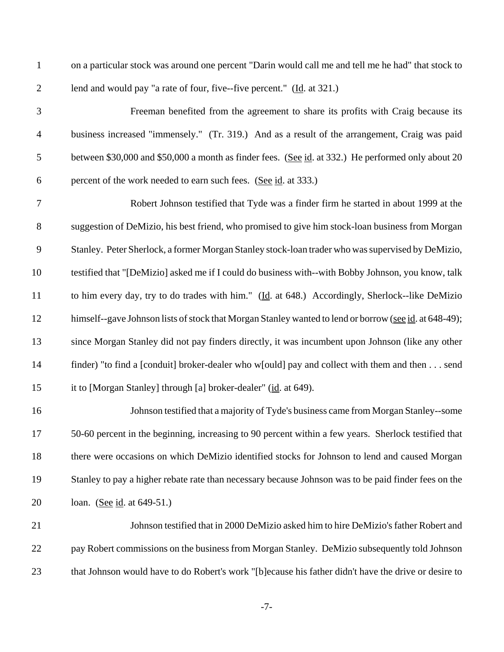on a particular stock was around one percent "Darin would call me and tell me he had" that stock to lend and would pay "a rate of four, five--five percent." (Id. at 321.)

 Freeman benefited from the agreement to share its profits with Craig because its business increased "immensely." (Tr. 319.) And as a result of the arrangement, Craig was paid 5 between \$30,000 and \$50,000 a month as finder fees. (See id. at 332.) He performed only about 20 percent of the work needed to earn such fees. (See id. at 333.)

 Robert Johnson testified that Tyde was a finder firm he started in about 1999 at the suggestion of DeMizio, his best friend, who promised to give him stock-loan business from Morgan Stanley. Peter Sherlock, a former Morgan Stanley stock-loan trader who was supervised by DeMizio, testified that "[DeMizio] asked me if I could do business with--with Bobby Johnson, you know, talk 11 to him every day, try to do trades with him." (Id. at 648.) Accordingly, Sherlock--like DeMizio 12 himself--gave Johnson lists of stock that Morgan Stanley wanted to lend or borrow (see id. at 648-49); since Morgan Stanley did not pay finders directly, it was incumbent upon Johnson (like any other finder) "to find a [conduit] broker-dealer who w[ould] pay and collect with them and then . . . send it to [Morgan Stanley] through [a] broker-dealer" (id. at 649).

 Johnson testified that a majority of Tyde's business came from Morgan Stanley--some 50-60 percent in the beginning, increasing to 90 percent within a few years. Sherlock testified that there were occasions on which DeMizio identified stocks for Johnson to lend and caused Morgan Stanley to pay a higher rebate rate than necessary because Johnson was to be paid finder fees on the loan. (See id. at 649-51.)

 Johnson testified that in 2000 DeMizio asked him to hire DeMizio's father Robert and pay Robert commissions on the business from Morgan Stanley. DeMizio subsequently told Johnson that Johnson would have to do Robert's work "[b]ecause his father didn't have the drive or desire to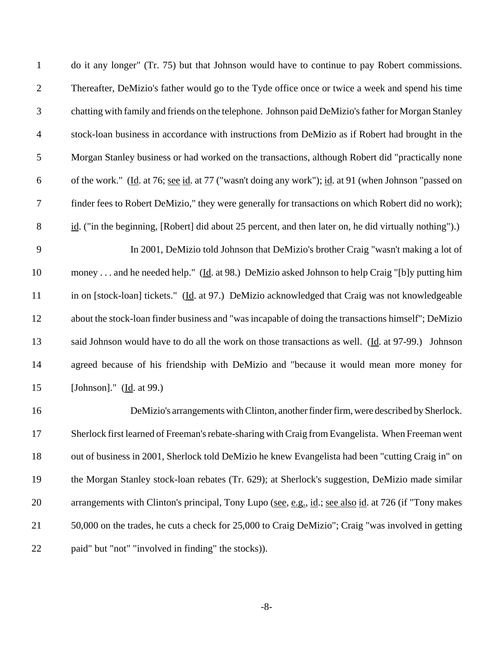| $\mathbf{1}$   | do it any longer" (Tr. 75) but that Johnson would have to continue to pay Robert commissions.            |
|----------------|----------------------------------------------------------------------------------------------------------|
| $\mathbf{2}$   | Thereafter, DeMizio's father would go to the Tyde office once or twice a week and spend his time         |
| 3              | chatting with family and friends on the telephone. Johnson paid DeMizio's father for Morgan Stanley      |
| $\overline{4}$ | stock-loan business in accordance with instructions from DeMizio as if Robert had brought in the         |
| 5              | Morgan Stanley business or had worked on the transactions, although Robert did "practically none         |
| 6              | of the work." (Id. at 76; see id. at 77 ("wasn't doing any work"); id. at 91 (when Johnson "passed on    |
| 7              | finder fees to Robert DeMizio," they were generally for transactions on which Robert did no work);       |
| $8\,$          | $id.$ ("in the beginning, [Robert] did about 25 percent, and then later on, he did virtually nothing").) |
| 9              | In 2001, DeMizio told Johnson that DeMizio's brother Craig "wasn't making a lot of                       |
| 10             | money  and he needed help." (Id. at 98.) DeMizio asked Johnson to help Craig "[b]y putting him           |
| 11             | in on [stock-loan] tickets." (Id. at 97.) DeMizio acknowledged that Craig was not knowledgeable          |
| 12             | about the stock-loan finder business and "was incapable of doing the transactions himself"; DeMizio      |
| 13             | said Johnson would have to do all the work on those transactions as well. (Id. at 97-99.) Johnson        |
| 14             | agreed because of his friendship with DeMizio and "because it would mean more money for                  |
| 15             | [Johnson]." ( $\underline{Id}$ . at 99.)                                                                 |
| 16             | DeMizio's arrangements with Clinton, another finder firm, were described by Sherlock.                    |
| 17             | Sherlock first learned of Freeman's rebate-sharing with Craig from Evangelista. When Freeman went        |
| 18             | out of business in 2001, Sherlock told DeMizio he knew Evangelista had been "cutting Craig in" on        |
| 19             | the Morgan Stanley stock-loan rebates (Tr. 629); at Sherlock's suggestion, DeMizio made similar          |
| 20             | arrangements with Clinton's principal, Tony Lupo (see, e.g., id.; see also id. at 726 (if "Tony makes    |
| 21             | 50,000 on the trades, he cuts a check for 25,000 to Craig DeMizio"; Craig "was involved in getting       |
| 22             | paid" but "not" "involved in finding" the stocks)).                                                      |

 $-8-$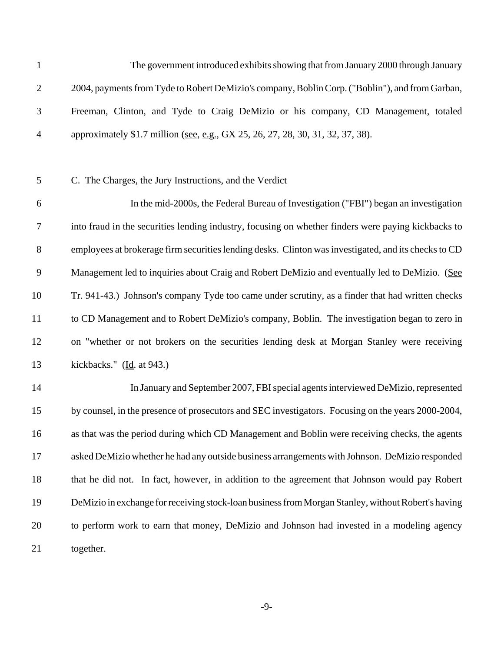The government introduced exhibits showing that from January 2000 through January 2004, payments from Tyde to Robert DeMizio's company, Boblin Corp. ("Boblin"), and from Garban, Freeman, Clinton, and Tyde to Craig DeMizio or his company, CD Management, totaled 4 approximately \$1.7 million (see, e.g., GX 25, 26, 27, 28, 30, 31, 32, 37, 38).

## C. The Charges, the Jury Instructions, and the Verdict

 In the mid-2000s, the Federal Bureau of Investigation ("FBI") began an investigation into fraud in the securities lending industry, focusing on whether finders were paying kickbacks to employees at brokerage firm securities lending desks. Clinton was investigated, and its checks to CD Management led to inquiries about Craig and Robert DeMizio and eventually led to DeMizio. (See Tr. 941-43.) Johnson's company Tyde too came under scrutiny, as a finder that had written checks to CD Management and to Robert DeMizio's company, Boblin. The investigation began to zero in on "whether or not brokers on the securities lending desk at Morgan Stanley were receiving 13 kickbacks." (<u>Id</u>. at 943.)

 In January and September 2007, FBI special agents interviewed DeMizio, represented by counsel, in the presence of prosecutors and SEC investigators. Focusing on the years 2000-2004, as that was the period during which CD Management and Boblin were receiving checks, the agents asked DeMizio whether he had any outside business arrangements with Johnson. DeMizio responded that he did not. In fact, however, in addition to the agreement that Johnson would pay Robert DeMizio in exchange for receiving stock-loan business from Morgan Stanley, without Robert's having to perform work to earn that money, DeMizio and Johnson had invested in a modeling agency together.

 $-9-$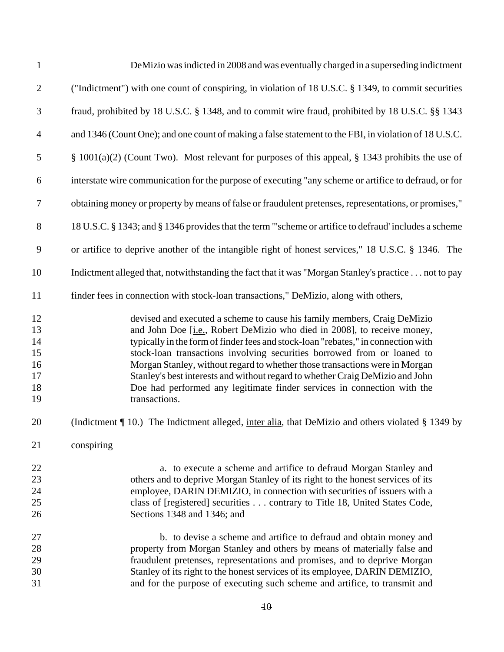| $\mathbf{1}$                                 | DeMizio was indicted in 2008 and was eventually charged in a superseding indictment                                                                                                                                                                                                                                                                                                                                                                                                                                                                                                      |
|----------------------------------------------|------------------------------------------------------------------------------------------------------------------------------------------------------------------------------------------------------------------------------------------------------------------------------------------------------------------------------------------------------------------------------------------------------------------------------------------------------------------------------------------------------------------------------------------------------------------------------------------|
| $\mathbf{2}$                                 | ("Indictment") with one count of conspiring, in violation of 18 U.S.C. § 1349, to commit securities                                                                                                                                                                                                                                                                                                                                                                                                                                                                                      |
| 3                                            | fraud, prohibited by 18 U.S.C. § 1348, and to commit wire fraud, prohibited by 18 U.S.C. §§ 1343                                                                                                                                                                                                                                                                                                                                                                                                                                                                                         |
| $\overline{4}$                               | and 1346 (Count One); and one count of making a false statement to the FBI, in violation of 18 U.S.C.                                                                                                                                                                                                                                                                                                                                                                                                                                                                                    |
| 5                                            | § 1001(a)(2) (Count Two). Most relevant for purposes of this appeal, § 1343 prohibits the use of                                                                                                                                                                                                                                                                                                                                                                                                                                                                                         |
| 6                                            | interstate wire communication for the purpose of executing "any scheme or artifice to defraud, or for                                                                                                                                                                                                                                                                                                                                                                                                                                                                                    |
| 7                                            | obtaining money or property by means of false or fraudulent pretenses, representations, or promises,"                                                                                                                                                                                                                                                                                                                                                                                                                                                                                    |
| $8\,$                                        | 18 U.S.C. § 1343; and § 1346 provides that the term "scheme or artifice to defraud' includes a scheme                                                                                                                                                                                                                                                                                                                                                                                                                                                                                    |
| $\mathbf{9}$                                 | or artifice to deprive another of the intangible right of honest services," 18 U.S.C. § 1346. The                                                                                                                                                                                                                                                                                                                                                                                                                                                                                        |
| 10                                           | Indictment alleged that, notwithstanding the fact that it was "Morgan Stanley's practice not to pay                                                                                                                                                                                                                                                                                                                                                                                                                                                                                      |
| 11                                           | finder fees in connection with stock-loan transactions," DeMizio, along with others,                                                                                                                                                                                                                                                                                                                                                                                                                                                                                                     |
| 12<br>13<br>14<br>15<br>16<br>17<br>18<br>19 | devised and executed a scheme to cause his family members, Craig DeMizio<br>and John Doe [ <i>i.e.</i> , Robert DeMizio who died in 2008], to receive money,<br>typically in the form of finder fees and stock-loan "rebates," in connection with<br>stock-loan transactions involving securities borrowed from or loaned to<br>Morgan Stanley, without regard to whether those transactions were in Morgan<br>Stanley's best interests and without regard to whether Craig DeMizio and John<br>Doe had performed any legitimate finder services in connection with the<br>transactions. |
| 20                                           | (Indictment $\P$ 10.) The Indictment alleged, inter alia, that DeMizio and others violated $\S$ 1349 by                                                                                                                                                                                                                                                                                                                                                                                                                                                                                  |
| 21                                           | conspiring                                                                                                                                                                                                                                                                                                                                                                                                                                                                                                                                                                               |
| 22<br>23<br>24<br>25<br>26                   | a. to execute a scheme and artifice to defraud Morgan Stanley and<br>others and to deprive Morgan Stanley of its right to the honest services of its<br>employee, DARIN DEMIZIO, in connection with securities of issuers with a<br>class of [registered] securities contrary to Title 18, United States Code,<br>Sections 1348 and 1346; and                                                                                                                                                                                                                                            |
| 27<br>28<br>29<br>30<br>31                   | b. to devise a scheme and artifice to defraud and obtain money and<br>property from Morgan Stanley and others by means of materially false and<br>fraudulent pretenses, representations and promises, and to deprive Morgan<br>Stanley of its right to the honest services of its employee, DARIN DEMIZIO,<br>and for the purpose of executing such scheme and artifice, to transmit and                                                                                                                                                                                                 |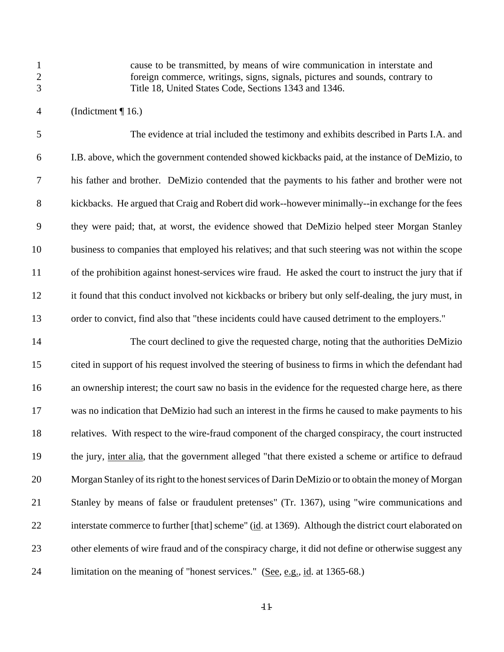cause to be transmitted, by means of wire communication in interstate and foreign commerce, writings, signs, signals, pictures and sounds, contrary to Title 18, United States Code, Sections 1343 and 1346.

(Indictment ¶ 16.)

 The evidence at trial included the testimony and exhibits described in Parts I.A. and I.B. above, which the government contended showed kickbacks paid, at the instance of DeMizio, to his father and brother. DeMizio contended that the payments to his father and brother were not kickbacks. He argued that Craig and Robert did work--however minimally--in exchange for the fees they were paid; that, at worst, the evidence showed that DeMizio helped steer Morgan Stanley business to companies that employed his relatives; and that such steering was not within the scope of the prohibition against honest-services wire fraud. He asked the court to instruct the jury that if it found that this conduct involved not kickbacks or bribery but only self-dealing, the jury must, in order to convict, find also that "these incidents could have caused detriment to the employers."

 The court declined to give the requested charge, noting that the authorities DeMizio cited in support of his request involved the steering of business to firms in which the defendant had 16 an ownership interest; the court saw no basis in the evidence for the requested charge here, as there was no indication that DeMizio had such an interest in the firms he caused to make payments to his relatives. With respect to the wire-fraud component of the charged conspiracy, the court instructed 19 the jury, inter alia, that the government alleged "that there existed a scheme or artifice to defraud Morgan Stanley of its right to the honest services of Darin DeMizio or to obtain the money of Morgan Stanley by means of false or fraudulent pretenses" (Tr. 1367), using "wire communications and interstate commerce to further [that] scheme" (id. at 1369). Although the district court elaborated on other elements of wire fraud and of the conspiracy charge, it did not define or otherwise suggest any 24 limitation on the meaning of "honest services." (See, e.g., id. at 1365-68.)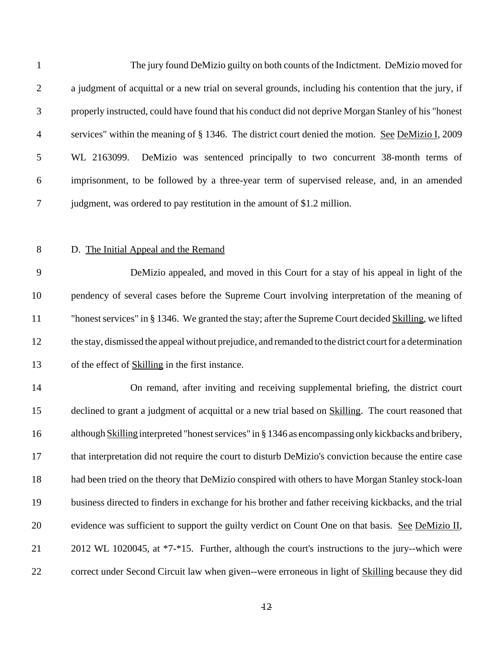| $\mathbf{1}$ | The jury found DeMizio guilty on both counts of the Indictment. DeMizio moved for                        |
|--------------|----------------------------------------------------------------------------------------------------------|
| $\mathbf{2}$ | a judgment of acquittal or a new trial on several grounds, including his contention that the jury, if    |
| 3            | properly instructed, could have found that his conduct did not deprive Morgan Stanley of his "honest     |
| 4            | services" within the meaning of § 1346. The district court denied the motion. See DeMizio I, 2009        |
| 5            | DeMizio was sentenced principally to two concurrent 38-month terms of<br>WL 2163099.                     |
| 6            | imprisonment, to be followed by a three-year term of supervised release, and, in an amended              |
| 7            | judgment, was ordered to pay restitution in the amount of \$1.2 million.                                 |
|              |                                                                                                          |
| $8\,$        | D. The Initial Appeal and the Remand                                                                     |
| 9            | DeMizio appealed, and moved in this Court for a stay of his appeal in light of the                       |
| 10           | pendency of several cases before the Supreme Court involving interpretation of the meaning of            |
| 11           | "honest services" in § 1346. We granted the stay; after the Supreme Court decided Skilling, we lifted    |
| 12           | the stay, dismissed the appeal without prejudice, and remanded to the district court for a determination |
| 13           | of the effect of <b>Skilling</b> in the first instance.                                                  |
| 14           | On remand, after inviting and receiving supplemental briefing, the district court                        |
| 15           | declined to grant a judgment of acquittal or a new trial based on Skilling. The court reasoned that      |
| 16           | although Skilling interpreted "honest services" in § 1346 as encompassing only kickbacks and bribery,    |
| 17           | that interpretation did not require the court to disturb DeMizio's conviction because the entire case    |
| 18           | had been tried on the theory that DeMizio conspired with others to have Morgan Stanley stock-loan        |
| 19           | business directed to finders in exchange for his brother and father receiving kickbacks, and the trial   |
| 20           | evidence was sufficient to support the guilty verdict on Count One on that basis. See DeMizio II,        |
| 21           | 2012 WL 1020045, at *7-*15. Further, although the court's instructions to the jury--which were           |
| 22           | correct under Second Circuit law when given--were erroneous in light of Skilling because they did        |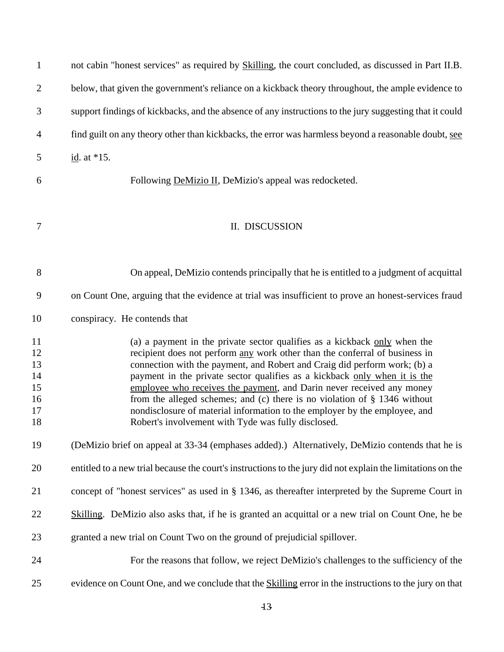| $\mathbf{1}$ | not cabin "honest services" as required by Skilling, the court concluded, as discussed in Part II.B.                                                     |
|--------------|----------------------------------------------------------------------------------------------------------------------------------------------------------|
| $\mathbf{2}$ | below, that given the government's reliance on a kickback theory throughout, the ample evidence to                                                       |
| 3            | support findings of kickbacks, and the absence of any instructions to the jury suggesting that it could                                                  |
| 4            | find guilt on any theory other than kickbacks, the error was harmless beyond a reasonable doubt, see                                                     |
| 5            | id. at $*15$ .                                                                                                                                           |
| 6            | Following DeMizio II, DeMizio's appeal was redocketed.                                                                                                   |
| 7            | II. DISCUSSION                                                                                                                                           |
| $8\,$        | On appeal, DeMizio contends principally that he is entitled to a judgment of acquittal                                                                   |
| 9            | on Count One, arguing that the evidence at trial was insufficient to prove an honest-services fraud                                                      |
| 10           | conspiracy. He contends that                                                                                                                             |
| 11           | (a) a payment in the private sector qualifies as a kickback only when the                                                                                |
| 12<br>13     | recipient does not perform any work other than the conferral of business in<br>connection with the payment, and Robert and Craig did perform work; (b) a |
| 14           | payment in the private sector qualifies as a kickback only when it is the                                                                                |
| 15           | employee who receives the payment, and Darin never received any money                                                                                    |
| 16           | from the alleged schemes; and (c) there is no violation of $\S$ 1346 without                                                                             |
| 17           | nondisclosure of material information to the employer by the employee, and                                                                               |
| 18           | Robert's involvement with Tyde was fully disclosed.                                                                                                      |
| 19           | (DeMizio brief on appeal at 33-34 (emphases added).) Alternatively, DeMizio contends that he is                                                          |
| 20           | entitled to a new trial because the court's instructions to the jury did not explain the limitations on the                                              |
| 21           | concept of "honest services" as used in § 1346, as thereafter interpreted by the Supreme Court in                                                        |
| 22           | Skilling. DeMizio also asks that, if he is granted an acquittal or a new trial on Count One, he be                                                       |
| 23           | granted a new trial on Count Two on the ground of prejudicial spillover.                                                                                 |
| 24           | For the reasons that follow, we reject DeMizio's challenges to the sufficiency of the                                                                    |
| 25           | evidence on Count One, and we conclude that the <b>Skilling</b> error in the instructions to the jury on that                                            |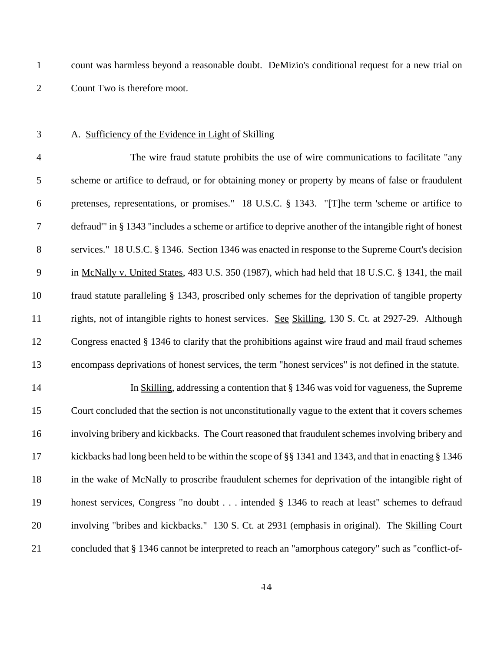count was harmless beyond a reasonable doubt. DeMizio's conditional request for a new trial on Count Two is therefore moot.

### A. Sufficiency of the Evidence in Light of Skilling

 The wire fraud statute prohibits the use of wire communications to facilitate "any scheme or artifice to defraud, or for obtaining money or property by means of false or fraudulent pretenses, representations, or promises." 18 U.S.C. § 1343. "[T]he term 'scheme or artifice to defraud'" in § 1343 "includes a scheme or artifice to deprive another of the intangible right of honest services." 18 U.S.C. § 1346. Section 1346 was enacted in response to the Supreme Court's decision in McNally v. United States, 483 U.S. 350 (1987), which had held that 18 U.S.C. § 1341, the mail fraud statute paralleling § 1343, proscribed only schemes for the deprivation of tangible property rights, not of intangible rights to honest services. See Skilling, 130 S. Ct. at 2927-29. Although Congress enacted § 1346 to clarify that the prohibitions against wire fraud and mail fraud schemes encompass deprivations of honest services, the term "honest services" is not defined in the statute.

 In Skilling, addressing a contention that § 1346 was void for vagueness, the Supreme Court concluded that the section is not unconstitutionally vague to the extent that it covers schemes involving bribery and kickbacks. The Court reasoned that fraudulent schemes involving bribery and kickbacks had long been held to be within the scope of §§ 1341 and 1343, and that in enacting § 1346 18 in the wake of McNally to proscribe fraudulent schemes for deprivation of the intangible right of honest services, Congress "no doubt . . . intended § 1346 to reach at least" schemes to defraud involving "bribes and kickbacks." 130 S. Ct. at 2931 (emphasis in original). The Skilling Court concluded that § 1346 cannot be interpreted to reach an "amorphous category" such as "conflict-of-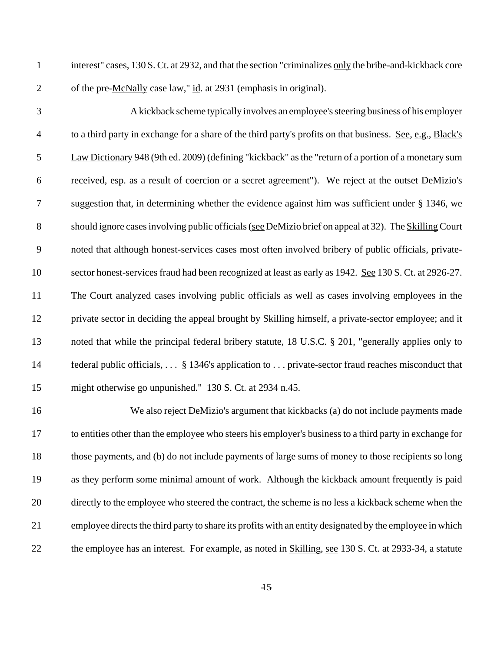- interest" cases, 130 S. Ct. at 2932, and that the section "criminalizes only the bribe-and-kickback core 2 of the pre-McNally case law," id. at 2931 (emphasis in original).
- 

 A kickback scheme typically involves an employee's steering business of his employer to a third party in exchange for a share of the third party's profits on that business. See, e.g., Black's Law Dictionary 948 (9th ed. 2009) (defining "kickback" as the "return of a portion of a monetary sum received, esp. as a result of coercion or a secret agreement"). We reject at the outset DeMizio's suggestion that, in determining whether the evidence against him was sufficient under § 1346, we 8 should ignore cases involving public officials (see DeMizio brief on appeal at 32). The Skilling Court noted that although honest-services cases most often involved bribery of public officials, private- sector honest-services fraud had been recognized at least as early as 1942. See 130 S. Ct. at 2926-27. The Court analyzed cases involving public officials as well as cases involving employees in the private sector in deciding the appeal brought by Skilling himself, a private-sector employee; and it noted that while the principal federal bribery statute, 18 U.S.C. § 201, "generally applies only to federal public officials, . . . § 1346's application to . . . private-sector fraud reaches misconduct that might otherwise go unpunished." 130 S. Ct. at 2934 n.45.

 We also reject DeMizio's argument that kickbacks (a) do not include payments made to entities other than the employee who steers his employer's business to a third party in exchange for those payments, and (b) do not include payments of large sums of money to those recipients so long as they perform some minimal amount of work. Although the kickback amount frequently is paid directly to the employee who steered the contract, the scheme is no less a kickback scheme when the employee directs the third party to share its profits with an entity designated by the employee in which the employee has an interest. For example, as noted in Skilling, see 130 S. Ct. at 2933-34, a statute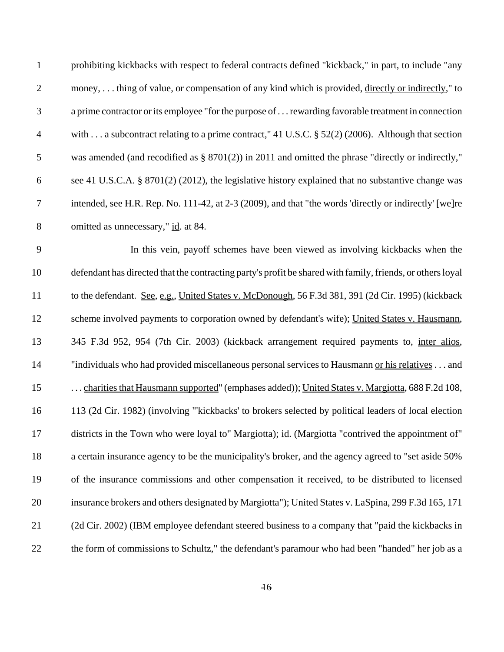| $\mathbf{1}$     | prohibiting kickbacks with respect to federal contracts defined "kickback," in part, to include "any          |
|------------------|---------------------------------------------------------------------------------------------------------------|
| $\mathbf{2}$     | money, thing of value, or compensation of any kind which is provided, directly or indirectly," to             |
| 3                | a prime contractor or its employee "for the purpose of  rewarding favorable treatment in connection           |
| $\overline{4}$   | with a subcontract relating to a prime contract," 41 U.S.C. § 52(2) (2006). Although that section             |
| 5                | was amended (and recodified as $\S$ 8701(2)) in 2011 and omitted the phrase "directly or indirectly,"         |
| 6                | see 41 U.S.C.A. § 8701(2) (2012), the legislative history explained that no substantive change was            |
| $\boldsymbol{7}$ | intended, <u>see</u> H.R. Rep. No. 111-42, at 2-3 (2009), and that "the words 'directly or indirectly' [we]re |
| $8\,$            | omitted as unnecessary," id. at 84.                                                                           |
| 9                | In this vein, payoff schemes have been viewed as involving kickbacks when the                                 |
| 10               | defendant has directed that the contracting party's profit be shared with family, friends, or others loyal    |
| 11               | to the defendant. See, e.g., United States v. McDonough, 56 F.3d 381, 391 (2d Cir. 1995) (kickback            |
| 12               | scheme involved payments to corporation owned by defendant's wife); United States v. Hausmann,                |
| 13               | 345 F.3d 952, 954 (7th Cir. 2003) (kickback arrangement required payments to, inter alios,                    |
| 14               | "individuals who had provided miscellaneous personal services to Hausmann or his relatives and                |
| 15               | charities that Hausmann supported" (emphases added)); United States v. Margiotta, 688 F.2d 108,               |
| 16               | 113 (2d Cir. 1982) (involving "'kickbacks' to brokers selected by political leaders of local election         |
| 17               | districts in the Town who were loyal to" Margiotta); id. (Margiotta "contrived the appointment of"            |
| 18               | a certain insurance agency to be the municipality's broker, and the agency agreed to "set aside 50%           |
| 19               | of the insurance commissions and other compensation it received, to be distributed to licensed                |
| 20               | insurance brokers and others designated by Margiotta"); United States v. LaSpina, 299 F.3d 165, 171           |
| 21               | (2d Cir. 2002) (IBM employee defendant steered business to a company that "paid the kickbacks in              |
| 22               | the form of commissions to Schultz," the defendant's paramour who had been "handed" her job as a              |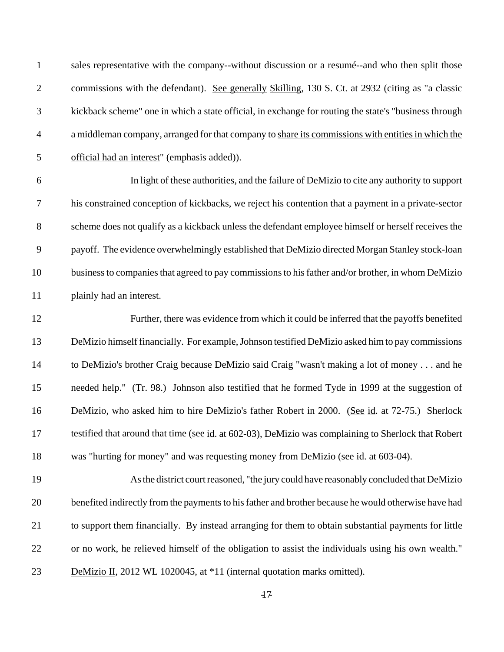| $\mathbf{1}$   | sales representative with the company--without discussion or a resumé--and who then split those       |
|----------------|-------------------------------------------------------------------------------------------------------|
| $\mathbf{2}$   | commissions with the defendant). See generally Skilling, 130 S. Ct. at 2932 (citing as "a classic     |
| 3              | kickback scheme" one in which a state official, in exchange for routing the state's "business through |
| $\overline{4}$ | a middleman company, arranged for that company to share its commissions with entities in which the    |
| 5              | official had an interest" (emphasis added)).                                                          |
| 6              | In light of these authorities, and the failure of DeMizio to cite any authority to support            |
| 7              | his constrained conception of kickbacks, we reject his contention that a payment in a private-sector  |
| $8\,$          | scheme does not qualify as a kickback unless the defendant employee himself or herself receives the   |
| 9              | payoff. The evidence overwhelmingly established that DeMizio directed Morgan Stanley stock-loan       |
| 10             | business to companies that agreed to pay commissions to his father and/or brother, in whom DeMizio    |
| 11             | plainly had an interest.                                                                              |
| 12             | Further, there was evidence from which it could be inferred that the payoffs benefited                |
| 13             | DeMizio himself financially. For example, Johnson testified DeMizio asked him to pay commissions      |
| 14             | to DeMizio's brother Craig because DeMizio said Craig "wasn't making a lot of money and he            |
| 15             | needed help." (Tr. 98.) Johnson also testified that he formed Tyde in 1999 at the suggestion of       |
| 16             | DeMizio, who asked him to hire DeMizio's father Robert in 2000. (See id. at 72-75.) Sherlock          |
| 17             | testified that around that time (see id. at 602-03), DeMizio was complaining to Sherlock that Robert  |
| 18             | was "hurting for money" and was requesting money from DeMizio (see id. at 603-04).                    |
| 19             | As the district court reasoned, "the jury could have reasonably concluded that DeMizio                |
| 20             | benefited indirectly from the payments to his father and brother because he would otherwise have had  |
| 21             | to support them financially. By instead arranging for them to obtain substantial payments for little  |
| 22             | or no work, he relieved himself of the obligation to assist the individuals using his own wealth."    |
| 23             | DeMizio II, 2012 WL 1020045, at *11 (internal quotation marks omitted).                               |
|                |                                                                                                       |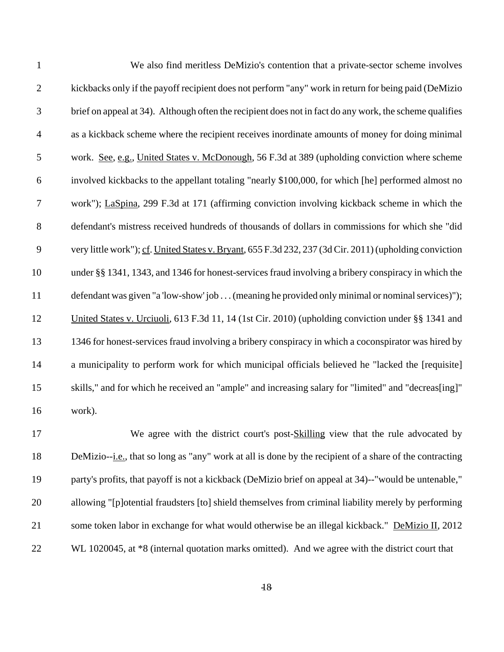| $\mathbf{1}$     | We also find meritless DeMizio's contention that a private-sector scheme involves                       |
|------------------|---------------------------------------------------------------------------------------------------------|
| $\overline{2}$   | kickbacks only if the payoff recipient does not perform "any" work in return for being paid (DeMizio    |
| 3                | brief on appeal at 34). Although often the recipient does not in fact do any work, the scheme qualifies |
| $\overline{4}$   | as a kickback scheme where the recipient receives inordinate amounts of money for doing minimal         |
| 5                | work. See, e.g., United States v. McDonough, 56 F.3d at 389 (upholding conviction where scheme          |
| $\boldsymbol{6}$ | involved kickbacks to the appellant totaling "nearly \$100,000, for which [he] performed almost no      |
| 7                | work"); LaSpina, 299 F.3d at 171 (affirming conviction involving kickback scheme in which the           |
| 8                | defendant's mistress received hundreds of thousands of dollars in commissions for which she "did        |
| 9                | very little work"); cf. United States v. Bryant, 655 F.3d 232, 237 (3d Cir. 2011) (upholding conviction |
| 10               | under §§ 1341, 1343, and 1346 for honest-services fraud involving a bribery conspiracy in which the     |
| 11               | defendant was given "a 'low-show' job  (meaning he provided only minimal or nominal services)");        |
| 12               | United States v. Urciuoli, 613 F.3d 11, 14 (1st Cir. 2010) (upholding conviction under §§ 1341 and      |
| 13               | 1346 for honest-services fraud involving a bribery conspiracy in which a coconspirator was hired by     |
| 14               | a municipality to perform work for which municipal officials believed he "lacked the [requisite]        |
| 15               | skills," and for which he received an "ample" and increasing salary for "limited" and "decreas[ing]"    |
| 16               | work).                                                                                                  |
| 17               | We agree with the district court's post-Skilling view that the rule advocated by                        |

18 DeMizio--i.e., that so long as "any" work at all is done by the recipient of a share of the contracting party's profits, that payoff is not a kickback (DeMizio brief on appeal at 34)--"would be untenable," allowing "[p]otential fraudsters [to] shield themselves from criminal liability merely by performing 21 some token labor in exchange for what would otherwise be an illegal kickback." DeMizio II, 2012 22 WL 1020045, at  $*8$  (internal quotation marks omitted). And we agree with the district court that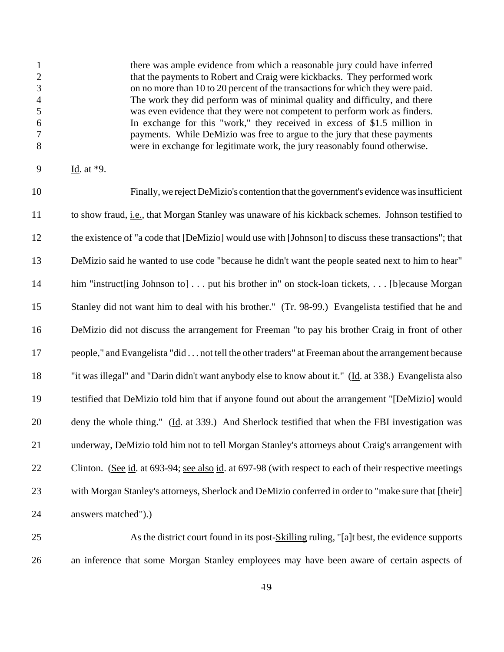there was ample evidence from which a reasonable jury could have inferred that the payments to Robert and Craig were kickbacks. They performed work on no more than 10 to 20 percent of the transactions for which they were paid. The work they did perform was of minimal quality and difficulty, and there was even evidence that they were not competent to perform work as finders. In exchange for this "work," they received in excess of \$1.5 million in payments. While DeMizio was free to argue to the jury that these payments were in exchange for legitimate work, the jury reasonably found otherwise.

Id. at \*9.

 Finally, we reject DeMizio's contention that the government's evidence was insufficient to show fraud, i.e., that Morgan Stanley was unaware of his kickback schemes. Johnson testified to the existence of "a code that [DeMizio] would use with [Johnson] to discuss these transactions"; that DeMizio said he wanted to use code "because he didn't want the people seated next to him to hear" 14 him "instruct [ing Johnson to] . . . put his brother in" on stock-loan tickets, . . . [b] ecause Morgan Stanley did not want him to deal with his brother." (Tr. 98-99.) Evangelista testified that he and DeMizio did not discuss the arrangement for Freeman "to pay his brother Craig in front of other people," and Evangelista "did . . . not tell the other traders" at Freeman about the arrangement because "it was illegal" and "Darin didn't want anybody else to know about it." (Id. at 338.) Evangelista also testified that DeMizio told him that if anyone found out about the arrangement "[DeMizio] would 20 deny the whole thing." (Id. at 339.) And Sherlock testified that when the FBI investigation was underway, DeMizio told him not to tell Morgan Stanley's attorneys about Craig's arrangement with Clinton. (See id. at 693-94; see also id. at 697-98 (with respect to each of their respective meetings with Morgan Stanley's attorneys, Sherlock and DeMizio conferred in order to "make sure that [their] answers matched").)

25 As the district court found in its post-Skilling ruling, "[a]t best, the evidence supports an inference that some Morgan Stanley employees may have been aware of certain aspects of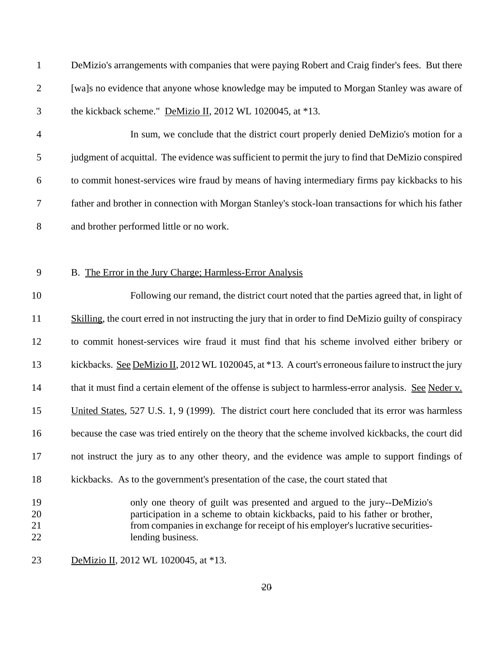| DeMizio's arrangements with companies that were paying Robert and Craig finder's fees. But there |
|--------------------------------------------------------------------------------------------------|
| [wa]s no evidence that anyone whose knowledge may be imputed to Morgan Stanley was aware of      |
| the kickback scheme." DeMizio II, 2012 WL 1020045, at $*13$ .                                    |

 In sum, we conclude that the district court properly denied DeMizio's motion for a judgment of acquittal. The evidence was sufficient to permit the jury to find that DeMizio conspired to commit honest-services wire fraud by means of having intermediary firms pay kickbacks to his father and brother in connection with Morgan Stanley's stock-loan transactions for which his father and brother performed little or no work.

#### B. The Error in the Jury Charge; Harmless-Error Analysis

 Following our remand, the district court noted that the parties agreed that, in light of Skilling, the court erred in not instructing the jury that in order to find DeMizio guilty of conspiracy to commit honest-services wire fraud it must find that his scheme involved either bribery or 13 kickbacks. See DeMizio II, 2012 WL 1020045, at \*13. A court's erroneous failure to instruct the jury 14 that it must find a certain element of the offense is subject to harmless-error analysis. See Neder v. 15 United States, 527 U.S. 1, 9 (1999). The district court here concluded that its error was harmless because the case was tried entirely on the theory that the scheme involved kickbacks, the court did not instruct the jury as to any other theory, and the evidence was ample to support findings of kickbacks. As to the government's presentation of the case, the court stated that only one theory of guilt was presented and argued to the jury--DeMizio's participation in a scheme to obtain kickbacks, paid to his father or brother, from companies in exchange for receipt of his employer's lucrative securities-22 lending business.

DeMizio II, 2012 WL 1020045, at \*13.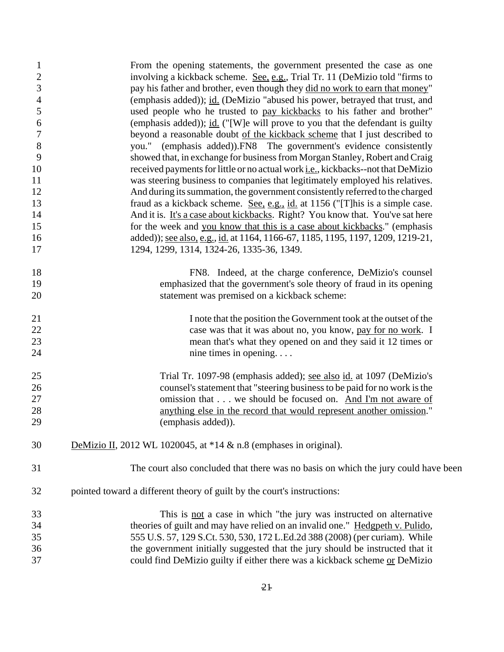| $\mathbf{1}$   | From the opening statements, the government presented the case as one                    |
|----------------|------------------------------------------------------------------------------------------|
| $\sqrt{2}$     | involving a kickback scheme. See, e.g., Trial Tr. 11 (DeMizio told "firms to             |
| $\mathfrak 3$  | pay his father and brother, even though they did no work to earn that money"             |
| $\overline{4}$ | (emphasis added)); id. (DeMizio "abused his power, betrayed that trust, and              |
| $\mathfrak{S}$ | used people who he trusted to pay kickbacks to his father and brother"                   |
| 6              | (emphasis added)); id. ("[W]e will prove to you that the defendant is guilty             |
| $\tau$         | beyond a reasonable doubt of the kickback scheme that I just described to                |
| $\,8\,$        | you." (emphasis added)). FN8 The government's evidence consistently                      |
| 9              | showed that, in exchange for business from Morgan Stanley, Robert and Craig              |
| 10             | received payments for little or no actual work <i>i.e.</i> , kickbacks--not that DeMizio |
| 11             | was steering business to companies that legitimately employed his relatives.             |
| 12             | And during its summation, the government consistently referred to the charged            |
| 13             | fraud as a kickback scheme. See, e.g., id. at 1156 ("[T]his is a simple case.            |
| 14             | And it is. It's a case about kickbacks. Right? You know that. You've sat here            |
| 15             | for the week and you know that this is a case about kickbacks." (emphasis                |
| 16             | added)); see also, e.g., id. at 1164, 1166-67, 1185, 1195, 1197, 1209, 1219-21,          |
| 17             | 1294, 1299, 1314, 1324-26, 1335-36, 1349.                                                |
| 18             | FN8. Indeed, at the charge conference, DeMizio's counsel                                 |
| 19             | emphasized that the government's sole theory of fraud in its opening                     |
| 20             | statement was premised on a kickback scheme:                                             |
| 21             | I note that the position the Government took at the outset of the                        |
| 22             | case was that it was about no, you know, pay for no work. I                              |
| 23             | mean that's what they opened on and they said it 12 times or                             |
| 24             | nine times in opening                                                                    |
| 25             | Trial Tr. 1097-98 (emphasis added); see also id. at 1097 (DeMizio's                      |
| 26             | counsel's statement that "steering business to be paid for no work is the                |
| 27             | omission that we should be focused on. And I'm not aware of                              |
| 28             | anything else in the record that would represent another omission."                      |
| 29             | (emphasis added)).                                                                       |
| 30             | DeMizio II, 2012 WL 1020045, at $*14 \& n.8$ (emphases in original).                     |
| 31             | The court also concluded that there was no basis on which the jury could have been       |
| 32             | pointed toward a different theory of guilt by the court's instructions:                  |
| 33             | This is <u>not</u> a case in which "the jury was instructed on alternative               |
| 34             | theories of guilt and may have relied on an invalid one." Hedgpeth v. Pulido,            |
| 35             | 555 U.S. 57, 129 S.Ct. 530, 530, 172 L.Ed.2d 388 (2008) (per curiam). While              |
| 36             | the government initially suggested that the jury should be instructed that it            |
| 37             | could find DeMizio guilty if either there was a kickback scheme or DeMizio               |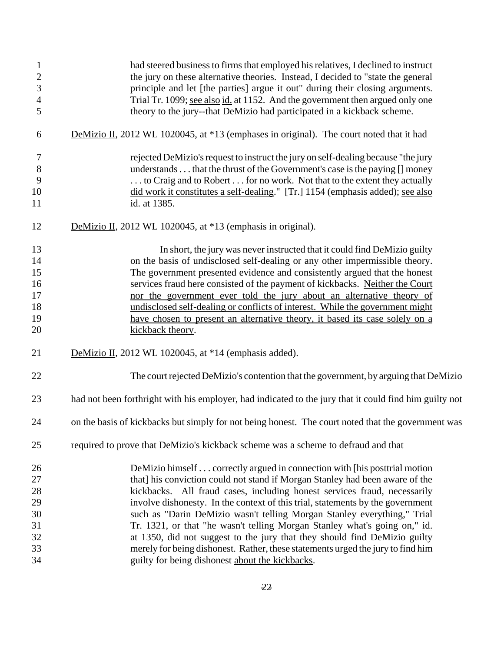| $\mathbf{1}$<br>$\overline{c}$<br>$\mathfrak{Z}$<br>$\overline{4}$<br>5 | had steered business to firms that employed his relatives, I declined to instruct<br>the jury on these alternative theories. Instead, I decided to "state the general<br>principle and let [the parties] argue it out" during their closing arguments.<br>Trial Tr. 1099; see also id. at 1152. And the government then argued only one<br>theory to the jury--that DeMizio had participated in a kickback scheme. |
|-------------------------------------------------------------------------|--------------------------------------------------------------------------------------------------------------------------------------------------------------------------------------------------------------------------------------------------------------------------------------------------------------------------------------------------------------------------------------------------------------------|
| 6                                                                       | DeMizio II, 2012 WL 1020045, at *13 (emphases in original). The court noted that it had                                                                                                                                                                                                                                                                                                                            |
| $\tau$                                                                  | rejected DeMizio's request to instruct the jury on self-dealing because "the jury                                                                                                                                                                                                                                                                                                                                  |
| $8\,$                                                                   | understands that the thrust of the Government's case is the paying [] money                                                                                                                                                                                                                                                                                                                                        |
| 9                                                                       | to Craig and to Robert  for no work. Not that to the extent they actually                                                                                                                                                                                                                                                                                                                                          |
| 10                                                                      | did work it constitutes a self-dealing." [Tr.] 1154 (emphasis added); see also                                                                                                                                                                                                                                                                                                                                     |
| 11                                                                      | id. at 1385.                                                                                                                                                                                                                                                                                                                                                                                                       |
| 12                                                                      | DeMizio II, 2012 WL 1020045, at *13 (emphasis in original).                                                                                                                                                                                                                                                                                                                                                        |
| 13                                                                      | In short, the jury was never instructed that it could find DeMizio guilty                                                                                                                                                                                                                                                                                                                                          |
| 14                                                                      | on the basis of undisclosed self-dealing or any other impermissible theory.                                                                                                                                                                                                                                                                                                                                        |
| 15                                                                      | The government presented evidence and consistently argued that the honest                                                                                                                                                                                                                                                                                                                                          |
| 16                                                                      | services fraud here consisted of the payment of kickbacks. Neither the Court                                                                                                                                                                                                                                                                                                                                       |
| 17                                                                      | nor the government ever told the jury about an alternative theory of                                                                                                                                                                                                                                                                                                                                               |
| 18                                                                      | undisclosed self-dealing or conflicts of interest. While the government might                                                                                                                                                                                                                                                                                                                                      |
| 19                                                                      | have chosen to present an alternative theory, it based its case solely on a                                                                                                                                                                                                                                                                                                                                        |
| 20                                                                      | kickback theory.                                                                                                                                                                                                                                                                                                                                                                                                   |
| 21                                                                      | DeMizio II, 2012 WL 1020045, at *14 (emphasis added).                                                                                                                                                                                                                                                                                                                                                              |
| 22                                                                      | The court rejected DeMizio's contention that the government, by arguing that DeMizio                                                                                                                                                                                                                                                                                                                               |
| 23                                                                      | had not been forthright with his employer, had indicated to the jury that it could find him guilty not                                                                                                                                                                                                                                                                                                             |
| 24                                                                      | on the basis of kickbacks but simply for not being honest. The court noted that the government was                                                                                                                                                                                                                                                                                                                 |
| 25                                                                      | required to prove that DeMizio's kickback scheme was a scheme to defraud and that                                                                                                                                                                                                                                                                                                                                  |
| 26                                                                      | DeMizio himself correctly argued in connection with [his posttrial motion                                                                                                                                                                                                                                                                                                                                          |
| 27                                                                      | that] his conviction could not stand if Morgan Stanley had been aware of the                                                                                                                                                                                                                                                                                                                                       |
| 28                                                                      | kickbacks. All fraud cases, including honest services fraud, necessarily                                                                                                                                                                                                                                                                                                                                           |
| 29                                                                      | involve dishonesty. In the context of this trial, statements by the government                                                                                                                                                                                                                                                                                                                                     |
| 30                                                                      | such as "Darin DeMizio wasn't telling Morgan Stanley everything," Trial                                                                                                                                                                                                                                                                                                                                            |
| 31                                                                      | Tr. 1321, or that "he wasn't telling Morgan Stanley what's going on," id.                                                                                                                                                                                                                                                                                                                                          |
| 32                                                                      | at 1350, did not suggest to the jury that they should find DeMizio guilty                                                                                                                                                                                                                                                                                                                                          |
| 33                                                                      | merely for being dishonest. Rather, these statements urged the jury to find him                                                                                                                                                                                                                                                                                                                                    |
| 34                                                                      | guilty for being dishonest about the kickbacks.                                                                                                                                                                                                                                                                                                                                                                    |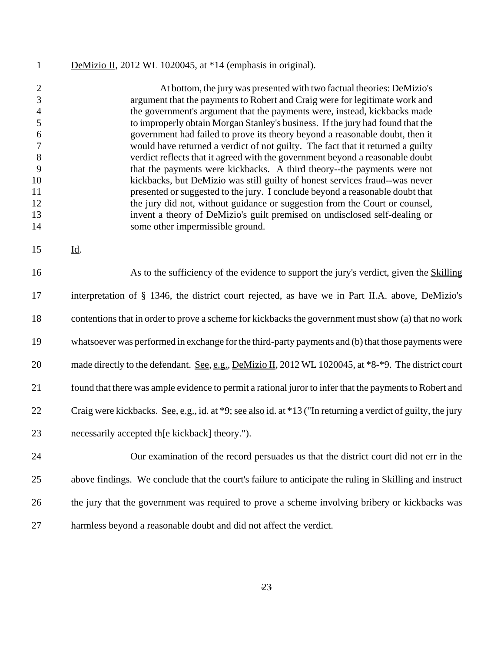## 1 DeMizio II, 2012 WL 1020045, at \*14 (emphasis in original).

|    | At bottom, the jury was presented with two factual theories: DeMizio's          |
|----|---------------------------------------------------------------------------------|
|    | argument that the payments to Robert and Craig were for legitimate work and     |
|    | the government's argument that the payments were, instead, kickbacks made       |
|    | to improperly obtain Morgan Stanley's business. If the jury had found that the  |
| h  | government had failed to prove its theory beyond a reasonable doubt, then it    |
|    | would have returned a verdict of not guilty. The fact that it returned a guilty |
| 8  | verdict reflects that it agreed with the government beyond a reasonable doubt   |
|    | that the payments were kickbacks. A third theory--the payments were not         |
| 10 | kickbacks, but DeMizio was still guilty of honest services fraud-was never      |
| 11 | presented or suggested to the jury. I conclude beyond a reasonable doubt that   |
| 12 | the jury did not, without guidance or suggestion from the Court or counsel,     |
| 13 | invent a theory of DeMizio's guilt premised on undisclosed self-dealing or      |
| 14 | some other impermissible ground.                                                |

Id.

 As to the sufficiency of the evidence to support the jury's verdict, given the Skilling interpretation of § 1346, the district court rejected, as have we in Part II.A. above, DeMizio's contentions that in order to prove a scheme for kickbacks the government must show (a) that no work whatsoever was performed in exchange for the third-party payments and (b) that those payments were 20 made directly to the defendant. See, e.g., DeMizio II, 2012 WL 1020045, at  $*8-*9$ . The district court 21 found that there was ample evidence to permit a rational juror to infer that the payments to Robert and 22 Craig were kickbacks. See, e.g., id. at \*9; see also id. at \*13 ("In returning a verdict of guilty, the jury necessarily accepted th[e kickback] theory.").

 Our examination of the record persuades us that the district court did not err in the above findings. We conclude that the court's failure to anticipate the ruling in Skilling and instruct the jury that the government was required to prove a scheme involving bribery or kickbacks was harmless beyond a reasonable doubt and did not affect the verdict.